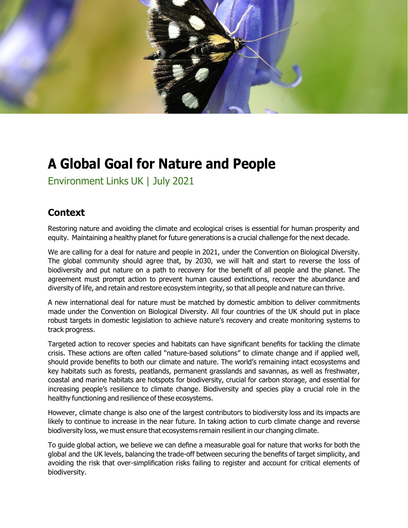

# **A Global Goal for Nature and People**

Environment Links UK | July 2021

## **Context**

Restoring nature and avoiding the climate and ecological crises is essential for human prosperity and equity. Maintaining a healthy planet for future generations is a crucial challenge for the next decade.

We are calling for a deal for nature and people in 2021, under the Convention on Biological Diversity. The global community should agree that, by 2030, we will halt and start to reverse the loss of biodiversity and put nature on a path to recovery for the benefit of all people and the planet. The agreement must prompt action to prevent human caused extinctions, recover the abundance and diversity of life, and retain and restore ecosystem integrity, so that all people and nature can thrive.

A new international deal for nature must be matched by domestic ambition to deliver commitments made under the Convention on Biological Diversity. All four countries of the UK should put in place robust targets in domestic legislation to achieve nature's recovery and create monitoring systems to track progress.

Targeted action to recover species and habitats can have significant benefits for tackling the climate crisis. These actions are often called "nature-based solutions" to climate change and if applied well, should provide benefits to both our climate and nature. The world's remaining intact ecosystems and key habitats such as forests, peatlands, permanent grasslands and savannas, as well as freshwater, coastal and marine habitats are hotspots for biodiversity, crucial for carbon storage, and essential for increasing people's resilience to climate change. Biodiversity and species play a crucial role in the healthy functioning and resilience of these ecosystems.

However, climate change is also one of the largest contributors to biodiversity loss and its impacts are likely to continue to increase in the near future. In taking action to curb climate change and reverse biodiversity loss, we must ensure that ecosystems remain resilient in our changing climate.

To guide global action, we believe we can define a measurable goal for nature that works for both the global and the UK levels, balancing the trade-off between securing the benefits of target simplicity, and avoiding the risk that over-simplification risks failing to register and account for critical elements of biodiversity.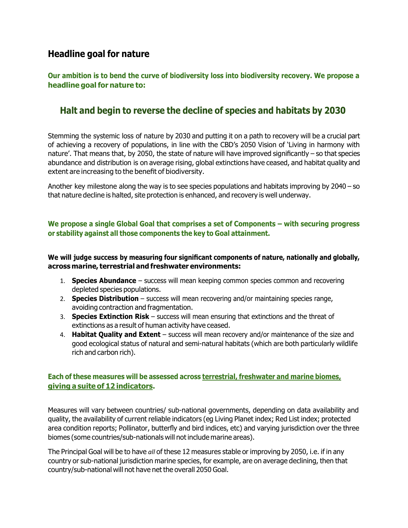## **Headline goal for nature**

**Our ambition is to bend the curve of biodiversity loss into biodiversity recovery. We propose a headline goalfor nature to:**

# **Halt and begin to reverse the decline of species and habitats by 2030**

Stemming the systemic loss of nature by 2030 and putting it on a path to recovery will be a crucial part of achieving a recovery of populations, in line with the CBD's 2050 Vision of 'Living in harmony with nature'. That means that, by 2050, the state of nature will have improved significantly – so that species abundance and distribution is on average rising, global extinctions have ceased, and habitat quality and extent are increasing to the benefit of biodiversity.

Another key milestone along the way is to see species populations and habitats improving by 2040 – so that nature decline is halted, site protection is enhanced, and recovery is well underway.

#### **We propose a single Global Goal that comprises a set of Components – with securing progress or stability against all those components the key to Goal attainment.**

#### **We will judge success by measuring four significant components of nature, nationally and globally, across marine, terrestrial and freshwater environments:**

- 1. **Species Abundance** success will mean keeping common species common and recovering depleted species populations.
- 2. **Species Distribution**  success will mean recovering and/or maintaining species range, avoiding contraction and fragmentation.
- 3. **Species Extinction Risk** success will mean ensuring that extinctions and the threat of extinctions as a result of human activity have ceased.
- 4. **Habitat Quality and Extent**  success will mean recovery and/or maintenance of the size and good ecological status of natural and semi-natural habitats (which are both particularly wildlife rich and carbon rich).

## **Each of these measures will be assessed across terrestrial, freshwater and marine biomes, giving a suite of 12 indicators.**

Measures will vary between countries/ sub-national governments, depending on data availability and quality, the availability of current reliable indicators (eg Living Planet index; Red List index; protected area condition reports; Pollinator, butterfly and bird indices, etc) and varying jurisdiction over the three biomes (some countries/sub-nationals will not include marine areas).

The Principal Goal will be to have *all* of these 12 measures stable or improving by 2050, i.e. if in any country or sub-national jurisdiction marine species, for example, are on average declining, then that country/sub-national will not have net the overall 2050 Goal.